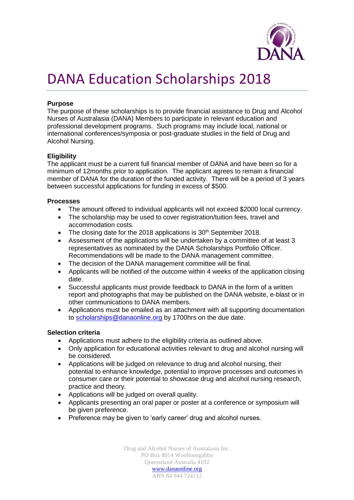

## DANA Education Scholarships 2018

#### **Purpose**

The purpose of these scholarships is to provide financial assistance to Drug and Alcohol Nurses of Australasia (DANA) Members to participate in relevant education and professional development programs. Such programs may include local, national or international conferences/symposia or post-graduate studies in the field of Drug and Alcohol Nursing.

#### **Eligibility**

The applicant must be a current full financial member of DANA and have been so for a minimum of 12months prior to application. The applicant agrees to remain a financial member of DANA for the duration of the funded activity. There will be a period of 3 years between successful applications for funding in excess of \$500.

#### **Processes**

- The amount offered to individual applicants will not exceed \$2000 local currency.
- The scholarship may be used to cover registration/tuition fees, travel and accommodation costs.
- The closing date for the 2018 applications is  $30<sup>th</sup>$  September 2018.
- Assessment of the applications will be undertaken by a committee of at least 3 representatives as nominated by the DANA Scholarships Portfolio Officer. Recommendations will be made to the DANA management committee.
- The decision of the DANA management committee will be final.
- Applicants will be notified of the outcome within 4 weeks of the application closing date.
- Successful applicants must provide feedback to DANA in the form of a written report and photographs that may be published on the DANA website, e-blast or in other communications to DANA members.
- Applications must be emailed as an attachment with all supporting documentation to [scholarships@danaonline.org](mailto:scholarships@danaonline.org) by 1700hrs on the due date.

#### **Selection criteria**

- Applications must adhere to the eligibility criteria as outlined above.
- Only application for educational activities relevant to drug and alcohol nursing will be considered.
- Applications will be judged on relevance to drug and alcohol nursing, their potential to enhance knowledge, potential to improve processes and outcomes in consumer care or their potential to showcase drug and alcohol nursing research, practice and theory.
- Applications will be judged on overall quality.
- Applicants presenting an oral paper or poster at a conference or symposium will be given preference.
- Preference may be given to 'early career' drug and alcohol nurses.

Drug and Alcohol Nurses of Australasia Inc. PO Box 8014 Woolloongabba Queensland Australia 4102 [www.danaonline.org](http://www.danaonline.org/) ABN 84 944 724112